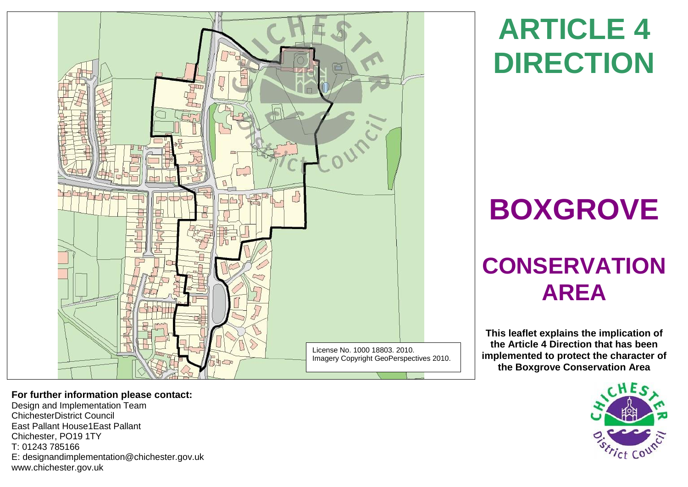

# **ARTICLE 4 DIRECTION**

# **BOXGROVE**

# **CONSERVATION AREA**

**This leaflet explains the implication of the Article 4 Direction that has been implemented to protect the character of the Boxgrove Conservation Area**



**For further information please contact:** 

Design and Implementation Team ChichesterDistrict Council East Pallant House1East Pallant Chichester, PO19 1TY T: 01243 785166 E: [designandimplementation@chichester.gov.uk](mailto:designandimplementation@chichester.gov.uk) [www.chichester.gov.uk](http://www.chichester.gov.uk/)